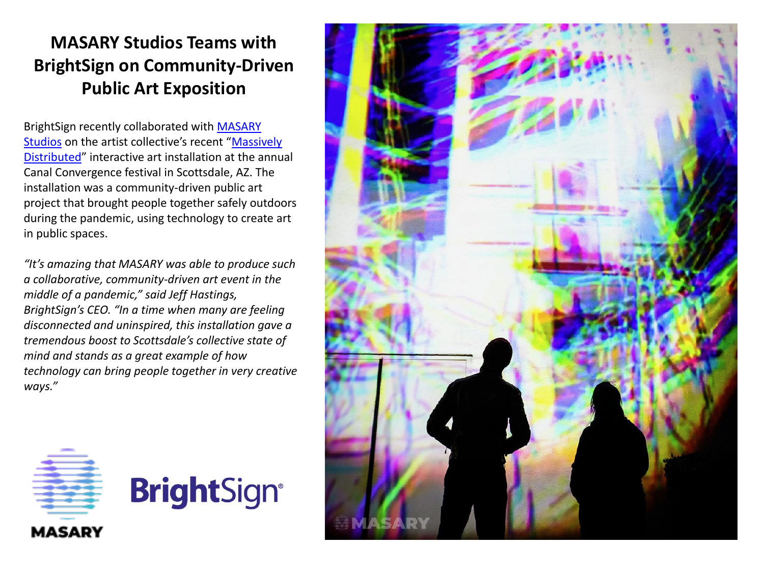## **MASARY Studios Teams with BrightSign on Community-Driven Public Art Exposition**

BrightSign [recently collaborated with MASARY](http://www.masarystudios.com/) Studios on the artist collective's recent "Massively Distributed[" interactive art installation at the annu](https://canalconvergence.com/work/massively-distributed/)al Canal Convergence festival in Scottsdale, AZ. The installation was a community-driven public art project that brought people together safely outdoors during the pandemic, using technology to create art in public spaces.

*"It's amazing that MASARY was able to produce such a collaborative, community-driven art event in the middle of a pandemic," said Jeff Hastings, BrightSign's CEO. "In a time when many are feeling disconnected and uninspired, this installation gave a tremendous boost to Scottsdale's collective state of mind and stands as a great example of how technology can bring people together in very creative ways."*